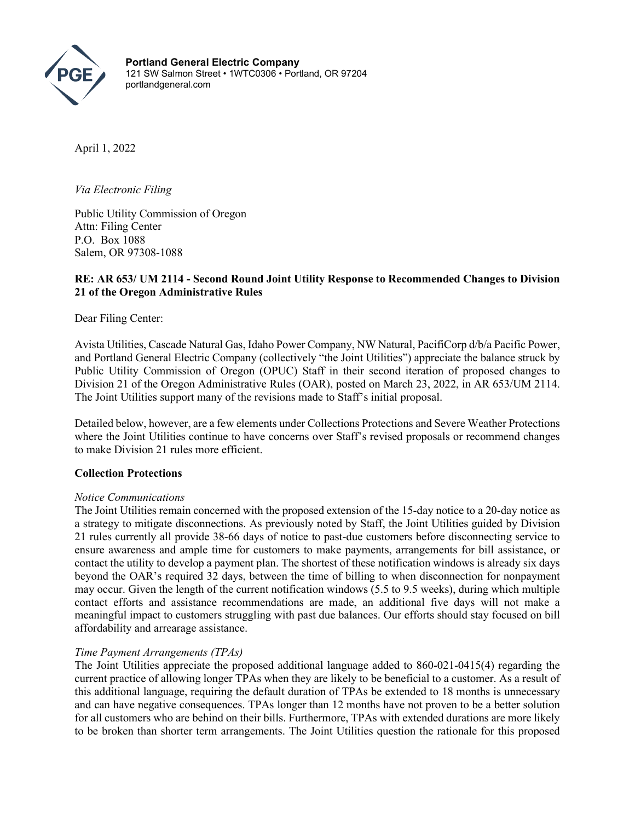

**Portland General Electric Company** 121 SW Salmon Street • 1WTC0306 • Portland, OR 97204 portlandgeneral.com

April 1, 2022

*Via Electronic Filing*

Public Utility Commission of Oregon Attn: Filing Center P.O. Box 1088 Salem, OR 97308-1088

# **RE: AR 653/ UM 2114 - Second Round Joint Utility Response to Recommended Changes to Division 21 of the Oregon Administrative Rules**

Dear Filing Center:

Avista Utilities, Cascade Natural Gas, Idaho Power Company, NW Natural, PacifiCorp d/b/a Pacific Power, and Portland General Electric Company (collectively "the Joint Utilities") appreciate the balance struck by Public Utility Commission of Oregon (OPUC) Staff in their second iteration of proposed changes to Division 21 of the Oregon Administrative Rules (OAR), posted on March 23, 2022, in AR 653/UM 2114. The Joint Utilities support many of the revisions made to Staff's initial proposal.

Detailed below, however, are a few elements under Collections Protections and Severe Weather Protections where the Joint Utilities continue to have concerns over Staff's revised proposals or recommend changes to make Division 21 rules more efficient.

## **Collection Protections**

## *Notice Communications*

The Joint Utilities remain concerned with the proposed extension of the 15-day notice to a 20-day notice as a strategy to mitigate disconnections. As previously noted by Staff, the Joint Utilities guided by Division 21 rules currently all provide 38-66 days of notice to past-due customers before disconnecting service to ensure awareness and ample time for customers to make payments, arrangements for bill assistance, or contact the utility to develop a payment plan. The shortest of these notification windows is already six days beyond the OAR's required 32 days, between the time of billing to when disconnection for nonpayment may occur. Given the length of the current notification windows (5.5 to 9.5 weeks), during which multiple contact efforts and assistance recommendations are made, an additional five days will not make a meaningful impact to customers struggling with past due balances. Our efforts should stay focused on bill affordability and arrearage assistance.

## *Time Payment Arrangements (TPAs)*

The Joint Utilities appreciate the proposed additional language added to 860-021-0415(4) regarding the current practice of allowing longer TPAs when they are likely to be beneficial to a customer. As a result of this additional language, requiring the default duration of TPAs be extended to 18 months is unnecessary and can have negative consequences. TPAs longer than 12 months have not proven to be a better solution for all customers who are behind on their bills. Furthermore, TPAs with extended durations are more likely to be broken than shorter term arrangements. The Joint Utilities question the rationale for this proposed